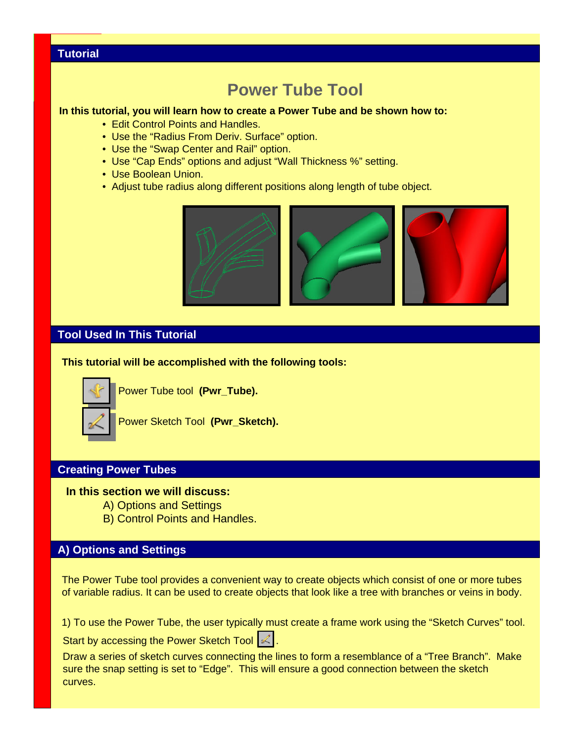## **Tutorial**

# **Power Tube Tool**

#### **In this tutorial, you will learn how to create a Power Tube and be shown how to:**

- Edit Control Points and Handles.
- Use the "Radius From Deriv. Surface" option.
- Use the "Swap Center and Rail" option.
- Use "Cap Ends" options and adjust "Wall Thickness %" setting.
- Use Boolean Union.
- Adjust tube radius along different positions along length of tube object.



### **Tool Used In This Tutorial**

**This tutorial will be accomplished with the following tools:**



Power Tube tool **(Pwr\_Tube).**

Power Sketch Tool **(Pwr\_Sketch).**

### **Creating Power Tubes**

#### **In this section we will discuss:**

- A) Options and Settings
- B) Control Points and Handles.

## **A) Options and Settings**

The Power Tube tool provides a convenient way to create objects which consist of one or more tubes of variable radius. It can be used to create objects that look like a tree with branches or veins in body.

1) To use the Power Tube, the user typically must create a frame work using the "Sketch Curves" tool.

Start by accessing the Power Sketch Tool  $|\mathcal{L}|$ .

Draw a series of sketch curves connecting the lines to form a resemblance of a "Tree Branch". Make sure the snap setting is set to "Edge". This will ensure a good connection between the sketch curves.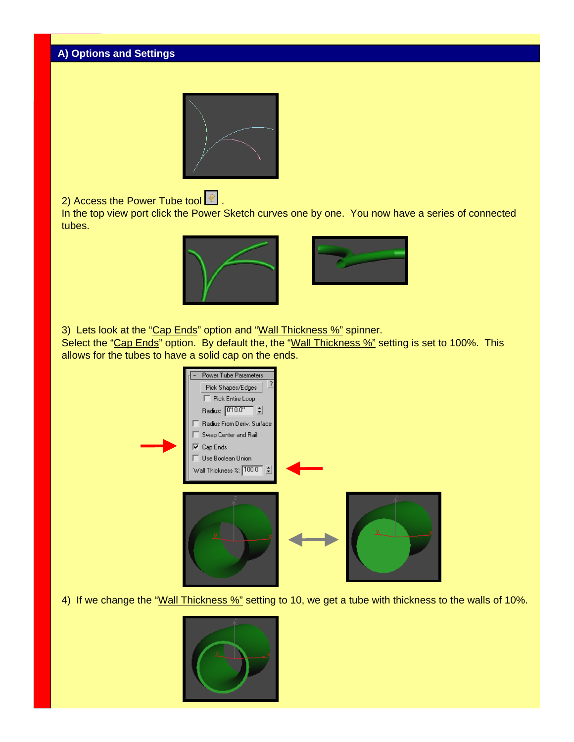

2) Access the Power Tube tool  $\boxed{\pm}$ .

In the top view port click the Power Sketch curves one by one. You now have a series of connected tubes.





3) Lets look at the "Cap Ends" option and "Wall Thickness %" spinner.

Select the "Cap Ends" option. By default the, the "Wall Thickness %" setting is set to 100%. This allows for the tubes to have a solid cap on the ends.



4) If we change the "Wall Thickness %" setting to 10, we get a tube with thickness to the walls of 10%.

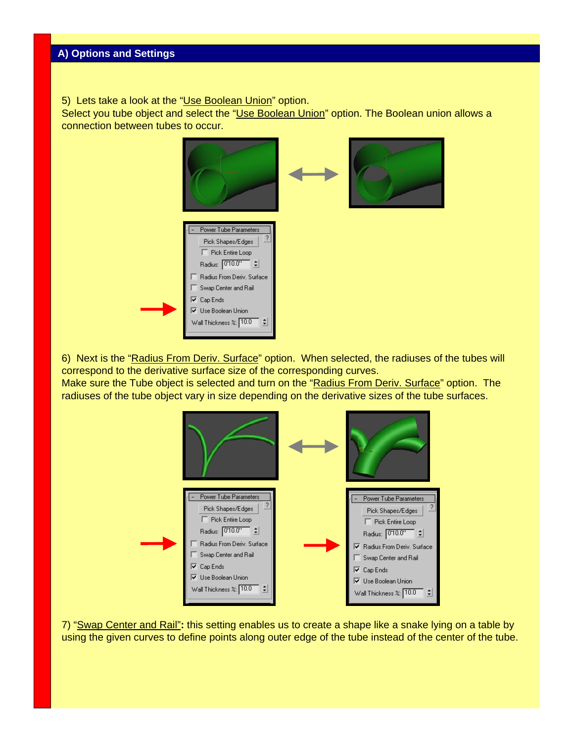5) Lets take a look at the "Use Boolean Union" option.

Select you tube object and select the "Use Boolean Union" option. The Boolean union allows a connection between tubes to occur.



6) Next is the "Radius From Deriv. Surface" option. When selected, the radiuses of the tubes will correspond to the derivative surface size of the corresponding curves.

Make sure the Tube object is selected and turn on the "Radius From Deriv. Surface" option. The radiuses of the tube object vary in size depending on the derivative sizes of the tube surfaces.



7) "Swap Center and Rail"**:** this setting enables us to create a shape like a snake lying on a table by using the given curves to define points along outer edge of the tube instead of the center of the tube.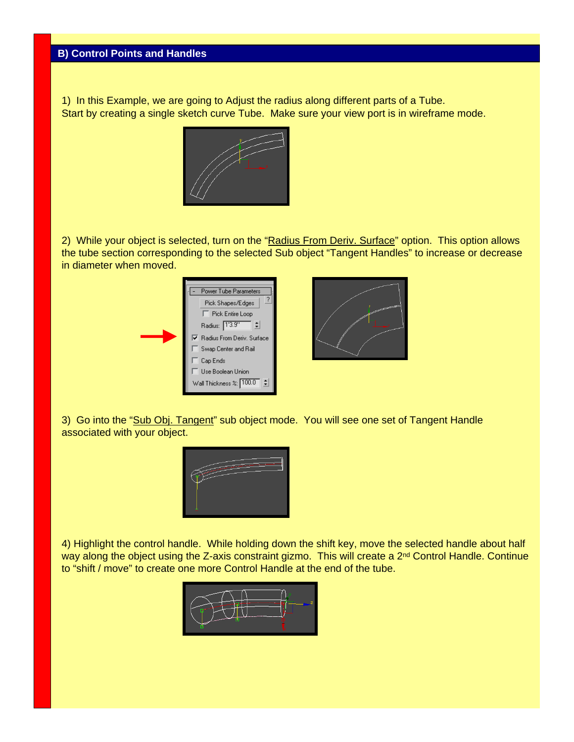1) In this Example, we are going to Adjust the radius along different parts of a Tube. Start by creating a single sketch curve Tube. Make sure your view port is in wireframe mode.



2) While your object is selected, turn on the "Radius From Deriv. Surface" option. This option allows the tube section corresponding to the selected Sub object "Tangent Handles" to increase or decrease in diameter when moved.



3) Go into the "Sub Obj. Tangent" sub object mode. You will see one set of Tangent Handle associated with your object.



4) Highlight the control handle. While holding down the shift key, move the selected handle about half way along the object using the Z-axis constraint gizmo. This will create a 2<sup>nd</sup> Control Handle. Continue to "shift / move" to create one more Control Handle at the end of the tube.